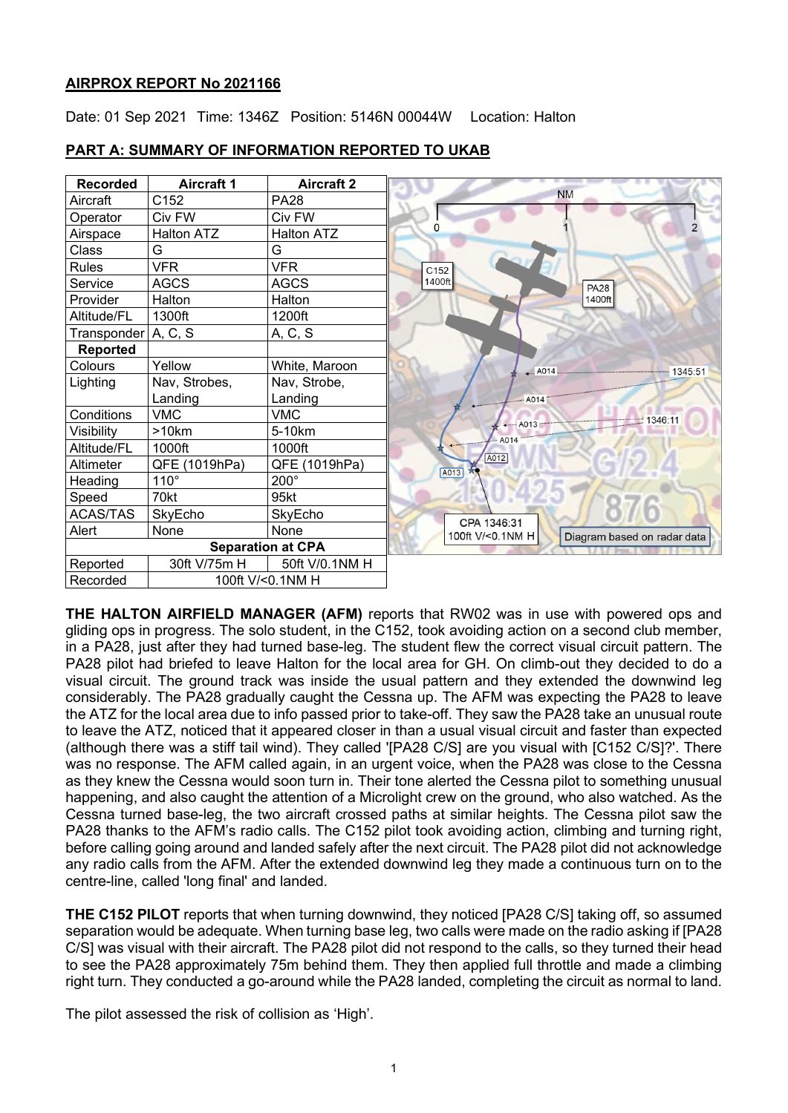# **AIRPROX REPORT No 2021166**

Date: 01 Sep 2021 Time: 1346Z Position: 5146N 00044W Location: Halton

| <b>Recorded</b>     | <b>Aircraft 1</b> | <b>Aircraft 2</b>        |                                                 |  |
|---------------------|-------------------|--------------------------|-------------------------------------------------|--|
| Aircraft            | C152              | <b>PA28</b>              | <b>NM</b>                                       |  |
| Operator            | Civ FW            | Civ FW                   |                                                 |  |
| Airspace            | <b>Halton ATZ</b> | Halton ATZ               | 0<br>2                                          |  |
| Class               | G                 | G                        |                                                 |  |
| <b>Rules</b>        | <b>VFR</b>        | <b>VFR</b>               | C <sub>152</sub>                                |  |
| Service             | <b>AGCS</b>       | <b>AGCS</b>              | 1400ft<br><b>PA28</b>                           |  |
| Provider            | Halton            | Halton                   | 1400ft                                          |  |
| Altitude/FL         | 1300ft            | 1200ft                   |                                                 |  |
| Transponder A, C, S |                   | A, C, S                  |                                                 |  |
| <b>Reported</b>     |                   |                          |                                                 |  |
| Colours             | Yellow            | White, Maroon            | A014<br>$-1345:51$                              |  |
| Lighting            | Nav, Strobes,     | Nav, Strobe,             |                                                 |  |
|                     | Landing           | Landing                  | $- A014$                                        |  |
| Conditions          | <b>VMC</b>        | <b>VMC</b>               | 1346:11<br>---- A013                            |  |
| Visibility          | >10km             | 5-10km                   | A014                                            |  |
| Altitude/FL         | 1000ft            | 1000ft                   |                                                 |  |
| Altimeter           | QFE (1019hPa)     | QFE (1019hPa)            | A012<br>A013                                    |  |
| Heading             | $110^\circ$       | $200^\circ$              |                                                 |  |
| Speed               | 70kt              | 95kt                     |                                                 |  |
| <b>ACAS/TAS</b>     | SkyEcho           | SkyEcho                  | CPA 1346:31                                     |  |
| Alert               | None              | None                     | 100ft V/<0.1NM H<br>Diagram based on radar data |  |
|                     |                   | <b>Separation at CPA</b> |                                                 |  |
| Reported            | 30ft V/75m H      | 50ft V/0.1NM H           |                                                 |  |
| Recorded            | 100ft V/<0.1NM H  |                          |                                                 |  |

# **PART A: SUMMARY OF INFORMATION REPORTED TO UKAB**

**THE HALTON AIRFIELD MANAGER (AFM)** reports that RW02 was in use with powered ops and gliding ops in progress. The solo student, in the C152, took avoiding action on a second club member, in a PA28, just after they had turned base-leg. The student flew the correct visual circuit pattern. The PA28 pilot had briefed to leave Halton for the local area for GH. On climb-out they decided to do a visual circuit. The ground track was inside the usual pattern and they extended the downwind leg considerably. The PA28 gradually caught the Cessna up. The AFM was expecting the PA28 to leave the ATZ for the local area due to info passed prior to take-off. They saw the PA28 take an unusual route to leave the ATZ, noticed that it appeared closer in than a usual visual circuit and faster than expected (although there was a stiff tail wind). They called '[PA28 C/S] are you visual with [C152 C/S]?'. There was no response. The AFM called again, in an urgent voice, when the PA28 was close to the Cessna as they knew the Cessna would soon turn in. Their tone alerted the Cessna pilot to something unusual happening, and also caught the attention of a Microlight crew on the ground, who also watched. As the Cessna turned base-leg, the two aircraft crossed paths at similar heights. The Cessna pilot saw the PA28 thanks to the AFM's radio calls. The C152 pilot took avoiding action, climbing and turning right, before calling going around and landed safely after the next circuit. The PA28 pilot did not acknowledge any radio calls from the AFM. After the extended downwind leg they made a continuous turn on to the centre-line, called 'long final' and landed.

**THE C152 PILOT** reports that when turning downwind, they noticed [PA28 C/S] taking off, so assumed separation would be adequate. When turning base leg, two calls were made on the radio asking if [PA28 C/S] was visual with their aircraft. The PA28 pilot did not respond to the calls, so they turned their head to see the PA28 approximately 75m behind them. They then applied full throttle and made a climbing right turn. They conducted a go-around while the PA28 landed, completing the circuit as normal to land.

The pilot assessed the risk of collision as 'High'.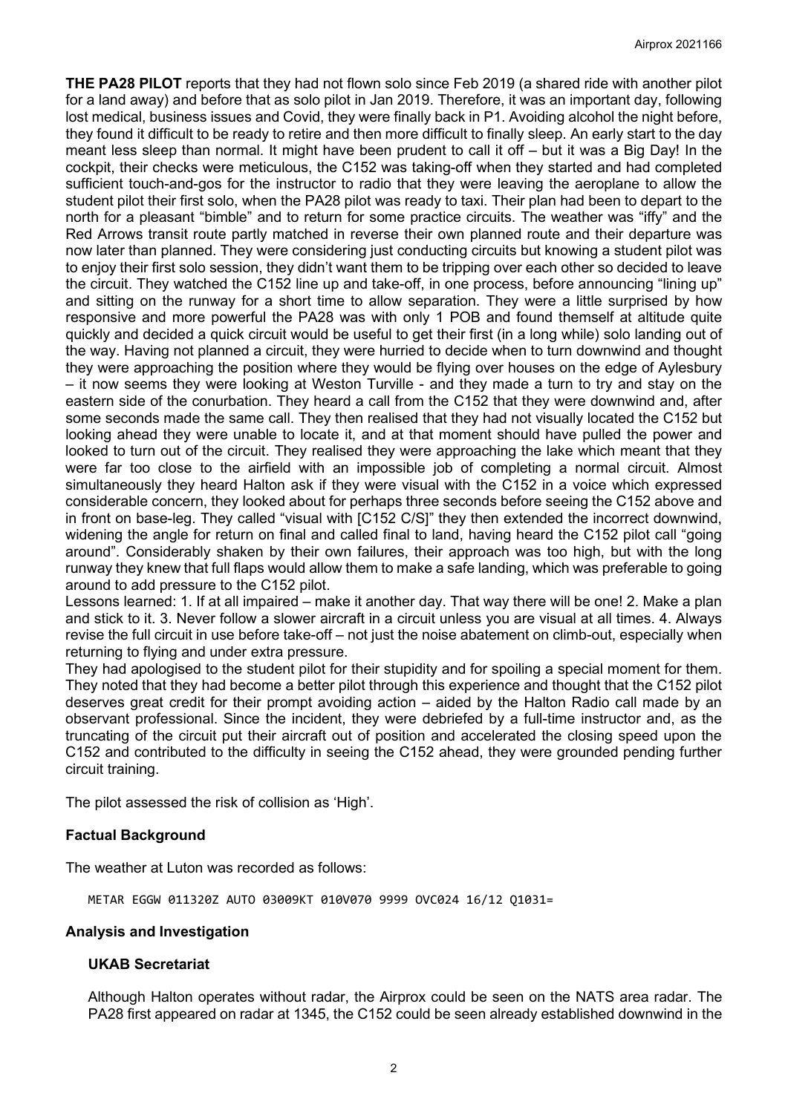**THE PA28 PILOT** reports that they had not flown solo since Feb 2019 (a shared ride with another pilot for a land away) and before that as solo pilot in Jan 2019. Therefore, it was an important day, following lost medical, business issues and Covid, they were finally back in P1. Avoiding alcohol the night before, they found it difficult to be ready to retire and then more difficult to finally sleep. An early start to the day meant less sleep than normal. It might have been prudent to call it off – but it was a Big Day! In the cockpit, their checks were meticulous, the C152 was taking-off when they started and had completed sufficient touch-and-gos for the instructor to radio that they were leaving the aeroplane to allow the student pilot their first solo, when the PA28 pilot was ready to taxi. Their plan had been to depart to the north for a pleasant "bimble" and to return for some practice circuits. The weather was "iffy" and the Red Arrows transit route partly matched in reverse their own planned route and their departure was now later than planned. They were considering just conducting circuits but knowing a student pilot was to enjoy their first solo session, they didn't want them to be tripping over each other so decided to leave the circuit. They watched the C152 line up and take-off, in one process, before announcing "lining up" and sitting on the runway for a short time to allow separation. They were a little surprised by how responsive and more powerful the PA28 was with only 1 POB and found themself at altitude quite quickly and decided a quick circuit would be useful to get their first (in a long while) solo landing out of the way. Having not planned a circuit, they were hurried to decide when to turn downwind and thought they were approaching the position where they would be flying over houses on the edge of Aylesbury – it now seems they were looking at Weston Turville - and they made a turn to try and stay on the eastern side of the conurbation. They heard a call from the C152 that they were downwind and, after some seconds made the same call. They then realised that they had not visually located the C152 but looking ahead they were unable to locate it, and at that moment should have pulled the power and looked to turn out of the circuit. They realised they were approaching the lake which meant that they were far too close to the airfield with an impossible job of completing a normal circuit. Almost simultaneously they heard Halton ask if they were visual with the C152 in a voice which expressed considerable concern, they looked about for perhaps three seconds before seeing the C152 above and in front on base-leg. They called "visual with [C152 C/S]" they then extended the incorrect downwind, widening the angle for return on final and called final to land, having heard the C152 pilot call "going around". Considerably shaken by their own failures, their approach was too high, but with the long runway they knew that full flaps would allow them to make a safe landing, which was preferable to going around to add pressure to the C152 pilot.

Lessons learned: 1. If at all impaired – make it another day. That way there will be one! 2. Make a plan and stick to it. 3. Never follow a slower aircraft in a circuit unless you are visual at all times. 4. Always revise the full circuit in use before take-off – not just the noise abatement on climb-out, especially when returning to flying and under extra pressure.

They had apologised to the student pilot for their stupidity and for spoiling a special moment for them. They noted that they had become a better pilot through this experience and thought that the C152 pilot deserves great credit for their prompt avoiding action – aided by the Halton Radio call made by an observant professional. Since the incident, they were debriefed by a full-time instructor and, as the truncating of the circuit put their aircraft out of position and accelerated the closing speed upon the C152 and contributed to the difficulty in seeing the C152 ahead, they were grounded pending further circuit training.

The pilot assessed the risk of collision as 'High'.

# **Factual Background**

The weather at Luton was recorded as follows:

METAR EGGW 011320Z AUTO 03009KT 010V070 9999 OVC024 16/12 Q1031=

#### **Analysis and Investigation**

#### **UKAB Secretariat**

Although Halton operates without radar, the Airprox could be seen on the NATS area radar. The PA28 first appeared on radar at 1345, the C152 could be seen already established downwind in the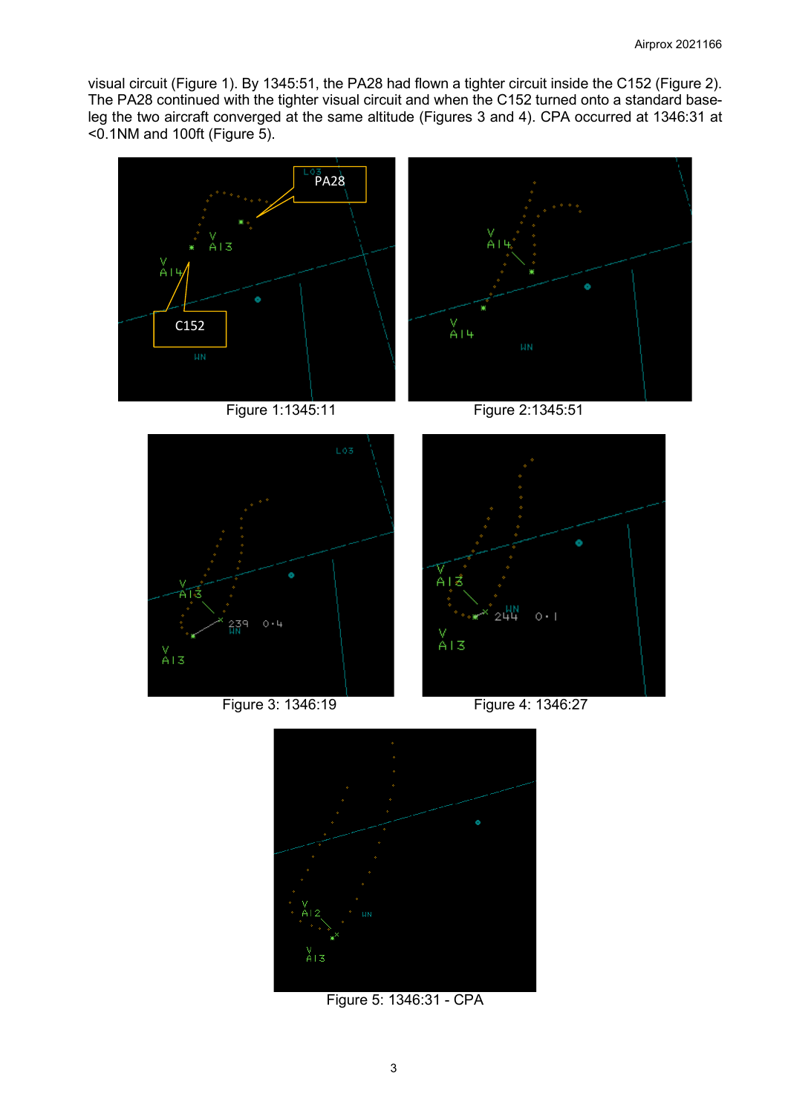visual circuit (Figure 1). By 1345:51, the PA28 had flown a tighter circuit inside the C152 (Figure 2). The PA28 continued with the tighter visual circuit and when the C152 turned onto a standard baseleg the two aircraft converged at the same altitude (Figures 3 and 4). CPA occurred at 1346:31 at <0.1NM and 100ft (Figure 5).









Figure 3: 1346:19 Figure 4: 1346:27



Figure 5: 1346:31 - CPA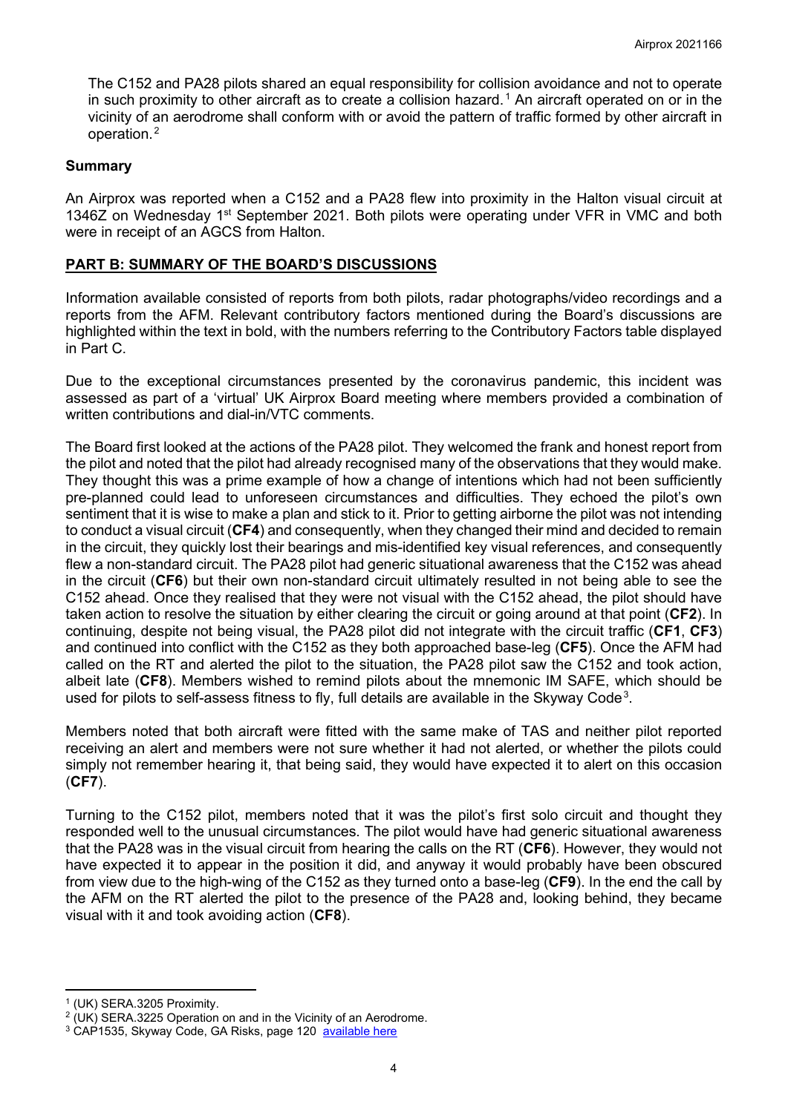The C152 and PA28 pilots shared an equal responsibility for collision avoidance and not to operate in such proximity to other aircraft as to create a collision hazard.<sup>[1](#page-3-0)</sup> An aircraft operated on or in the vicinity of an aerodrome shall conform with or avoid the pattern of traffic formed by other aircraft in operation.[2](#page-3-1)

# **Summary**

An Airprox was reported when a C152 and a PA28 flew into proximity in the Halton visual circuit at 1346Z on Wednesday  $1^{st}$  September 2021. Both pilots were operating under VFR in VMC and both were in receipt of an AGCS from Halton.

# **PART B: SUMMARY OF THE BOARD'S DISCUSSIONS**

Information available consisted of reports from both pilots, radar photographs/video recordings and a reports from the AFM. Relevant contributory factors mentioned during the Board's discussions are highlighted within the text in bold, with the numbers referring to the Contributory Factors table displayed in Part C.

Due to the exceptional circumstances presented by the coronavirus pandemic, this incident was assessed as part of a 'virtual' UK Airprox Board meeting where members provided a combination of written contributions and dial-in/VTC comments.

The Board first looked at the actions of the PA28 pilot. They welcomed the frank and honest report from the pilot and noted that the pilot had already recognised many of the observations that they would make. They thought this was a prime example of how a change of intentions which had not been sufficiently pre-planned could lead to unforeseen circumstances and difficulties. They echoed the pilot's own sentiment that it is wise to make a plan and stick to it. Prior to getting airborne the pilot was not intending to conduct a visual circuit (**CF4**) and consequently, when they changed their mind and decided to remain in the circuit, they quickly lost their bearings and mis-identified key visual references, and consequently flew a non-standard circuit. The PA28 pilot had generic situational awareness that the C152 was ahead in the circuit (**CF6**) but their own non-standard circuit ultimately resulted in not being able to see the C152 ahead. Once they realised that they were not visual with the C152 ahead, the pilot should have taken action to resolve the situation by either clearing the circuit or going around at that point (**CF2**). In continuing, despite not being visual, the PA28 pilot did not integrate with the circuit traffic (**CF1**, **CF3**) and continued into conflict with the C152 as they both approached base-leg (**CF5**). Once the AFM had called on the RT and alerted the pilot to the situation, the PA28 pilot saw the C152 and took action, albeit late (**CF8**). Members wished to remind pilots about the mnemonic IM SAFE, which should be used for pilots to self-assess fitness to fly, full details are available in the Skyway Code $^3$  $^3$ .

Members noted that both aircraft were fitted with the same make of TAS and neither pilot reported receiving an alert and members were not sure whether it had not alerted, or whether the pilots could simply not remember hearing it, that being said, they would have expected it to alert on this occasion (**CF7**).

Turning to the C152 pilot, members noted that it was the pilot's first solo circuit and thought they responded well to the unusual circumstances. The pilot would have had generic situational awareness that the PA28 was in the visual circuit from hearing the calls on the RT (**CF6**). However, they would not have expected it to appear in the position it did, and anyway it would probably have been obscured from view due to the high-wing of the C152 as they turned onto a base-leg (**CF9**). In the end the call by the AFM on the RT alerted the pilot to the presence of the PA28 and, looking behind, they became visual with it and took avoiding action (**CF8**).

<span id="page-3-0"></span><sup>1</sup> (UK) SERA.3205 Proximity.

<span id="page-3-1"></span> $2$  (UK) SERA.3225 Operation on and in the Vicinity of an Aerodrome.

<span id="page-3-2"></span><sup>&</sup>lt;sup>3</sup> CAP1535, Skyway Code, GA Risks, page 120 [available here](https://publicapps.caa.co.uk/docs/33/CAP1535S%20Skyway%20Code%20Version%203.pdf)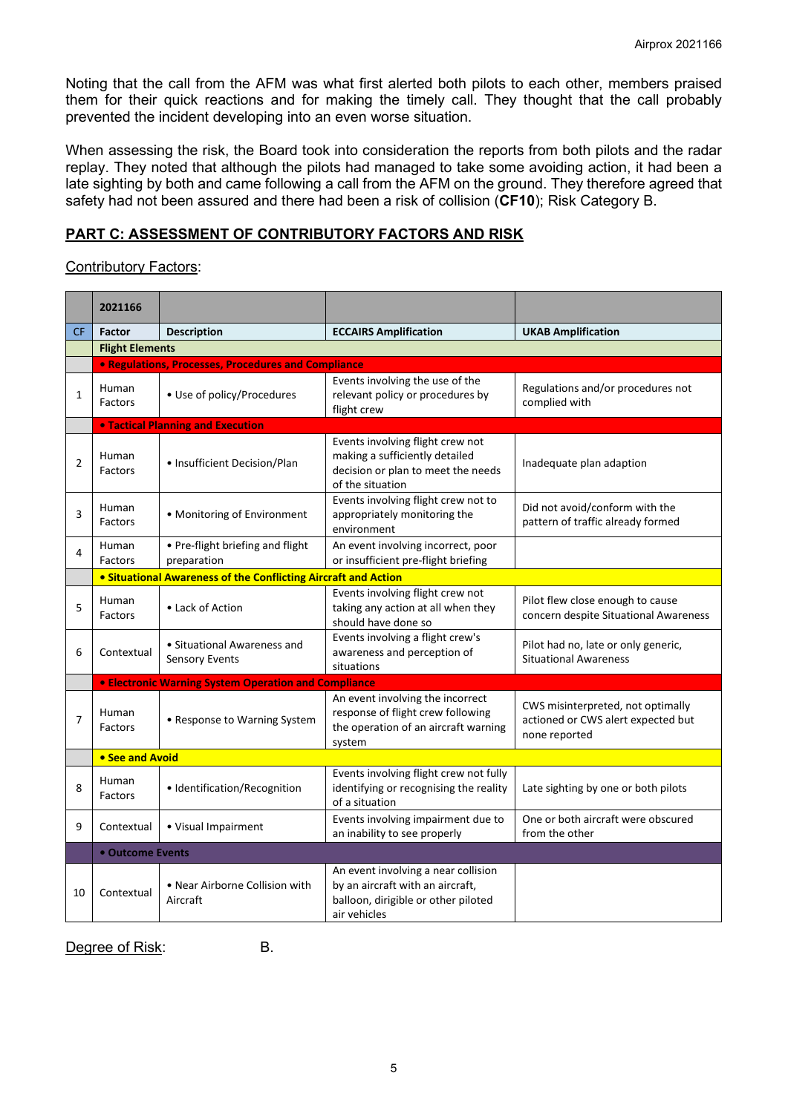Noting that the call from the AFM was what first alerted both pilots to each other, members praised them for their quick reactions and for making the timely call. They thought that the call probably prevented the incident developing into an even worse situation.

When assessing the risk, the Board took into consideration the reports from both pilots and the radar replay. They noted that although the pilots had managed to take some avoiding action, it had been a late sighting by both and came following a call from the AFM on the ground. They therefore agreed that safety had not been assured and there had been a risk of collision (**CF10**); Risk Category B.

# **PART C: ASSESSMENT OF CONTRIBUTORY FACTORS AND RISK**

# Contributory Factors:

|                | 2021166                                                     |                                                                |                                                                                                                                |                                                                                          |  |  |  |
|----------------|-------------------------------------------------------------|----------------------------------------------------------------|--------------------------------------------------------------------------------------------------------------------------------|------------------------------------------------------------------------------------------|--|--|--|
| <b>CF</b>      | Factor                                                      | <b>Description</b>                                             | <b>ECCAIRS Amplification</b>                                                                                                   | <b>UKAB Amplification</b>                                                                |  |  |  |
|                | <b>Flight Elements</b>                                      |                                                                |                                                                                                                                |                                                                                          |  |  |  |
|                | • Regulations, Processes, Procedures and Compliance         |                                                                |                                                                                                                                |                                                                                          |  |  |  |
| 1              | Human<br>Factors                                            | • Use of policy/Procedures                                     | Events involving the use of the<br>relevant policy or procedures by<br>flight crew                                             | Regulations and/or procedures not<br>complied with                                       |  |  |  |
|                |                                                             | <b>. Tactical Planning and Execution</b>                       |                                                                                                                                |                                                                                          |  |  |  |
| $\overline{2}$ | Human<br>Factors                                            | • Insufficient Decision/Plan                                   | Events involving flight crew not<br>making a sufficiently detailed<br>decision or plan to meet the needs<br>of the situation   | Inadequate plan adaption                                                                 |  |  |  |
| 3              | Human<br>Factors                                            | • Monitoring of Environment                                    | Events involving flight crew not to<br>appropriately monitoring the<br>environment                                             | Did not avoid/conform with the<br>pattern of traffic already formed                      |  |  |  |
| 4              | Human<br>Factors                                            | • Pre-flight briefing and flight<br>preparation                | An event involving incorrect, poor<br>or insufficient pre-flight briefing                                                      |                                                                                          |  |  |  |
|                |                                                             | • Situational Awareness of the Conflicting Aircraft and Action |                                                                                                                                |                                                                                          |  |  |  |
| 5              | Human<br>Factors                                            | • Lack of Action                                               | Events involving flight crew not<br>taking any action at all when they<br>should have done so                                  | Pilot flew close enough to cause<br>concern despite Situational Awareness                |  |  |  |
| 6              | Contextual                                                  | • Situational Awareness and<br>Sensory Events                  | Events involving a flight crew's<br>awareness and perception of<br>situations                                                  | Pilot had no, late or only generic,<br><b>Situational Awareness</b>                      |  |  |  |
|                | <b>• Electronic Warning System Operation and Compliance</b> |                                                                |                                                                                                                                |                                                                                          |  |  |  |
| 7              | Human<br>Factors                                            | • Response to Warning System                                   | An event involving the incorrect<br>response of flight crew following<br>the operation of an aircraft warning<br>system        | CWS misinterpreted, not optimally<br>actioned or CWS alert expected but<br>none reported |  |  |  |
|                | • See and Avoid                                             |                                                                |                                                                                                                                |                                                                                          |  |  |  |
| 8              | Human<br>Factors                                            | • Identification/Recognition                                   | Events involving flight crew not fully<br>identifying or recognising the reality<br>of a situation                             | Late sighting by one or both pilots                                                      |  |  |  |
| 9              | Contextual                                                  | • Visual Impairment                                            | Events involving impairment due to<br>an inability to see properly                                                             | One or both aircraft were obscured<br>from the other                                     |  |  |  |
|                | • Outcome Events                                            |                                                                |                                                                                                                                |                                                                                          |  |  |  |
| 10             | • Near Airborne Collision with<br>Contextual<br>Aircraft    |                                                                | An event involving a near collision<br>by an aircraft with an aircraft,<br>balloon, dirigible or other piloted<br>air vehicles |                                                                                          |  |  |  |

Degree of Risk: B.